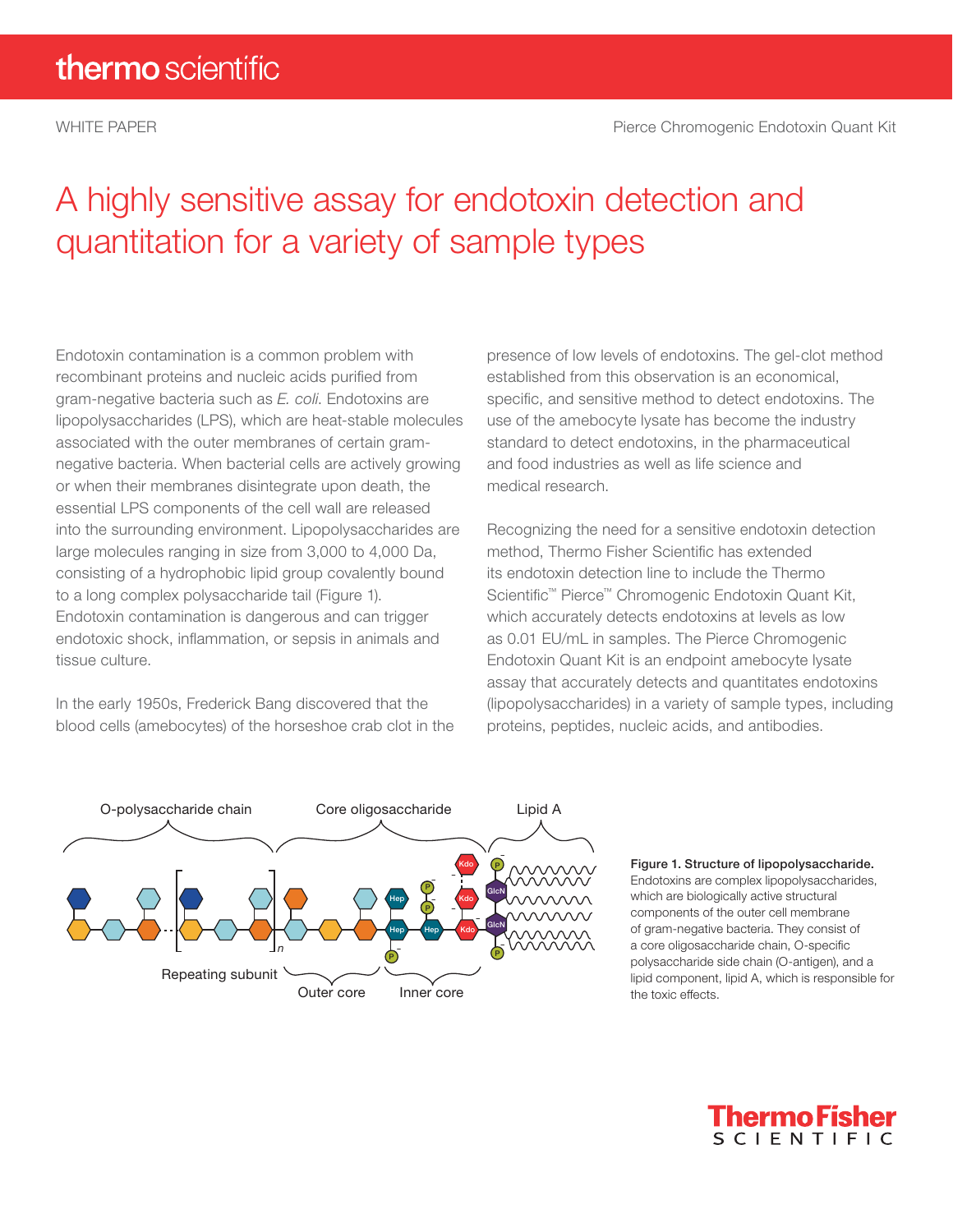## A highly sensitive assay for endotoxin detection and quantitation for a variety of sample types

Endotoxin contamination is a common problem with recombinant proteins and nucleic acids purified from gram-negative bacteria such as *E. coli*. Endotoxins are lipopolysaccharides (LPS), which are heat-stable molecules associated with the outer membranes of certain gramnegative bacteria. When bacterial cells are actively growing or when their membranes disintegrate upon death, the essential LPS components of the cell wall are released into the surrounding environment. Lipopolysaccharides are large molecules ranging in size from 3,000 to 4,000 Da, consisting of a hydrophobic lipid group covalently bound to a long complex polysaccharide tail (Figure 1). Endotoxin contamination is dangerous and can trigger endotoxic shock, inflammation, or sepsis in animals and tissue culture.

In the early 1950s, Frederick Bang discovered that the blood cells (amebocytes) of the horseshoe crab clot in the presence of low levels of endotoxins. The gel-clot method established from this observation is an economical, specific, and sensitive method to detect endotoxins. The use of the amebocyte lysate has become the industry standard to detect endotoxins, in the pharmaceutical and food industries as well as life science and medical research.

Recognizing the need for a sensitive endotoxin detection method, Thermo Fisher Scientific has extended its endotoxin detection line to include the Thermo Scientific™ Pierce™ Chromogenic Endotoxin Quant Kit, which accurately detects endotoxins at levels as low as 0.01 EU/mL in samples. The Pierce Chromogenic Endotoxin Quant Kit is an endpoint amebocyte lysate assay that accurately detects and quantitates endotoxins (lipopolysaccharides) in a variety of sample types, including proteins, peptides, nucleic acids, and antibodies.



Figure 1. Structure of lipopolysaccharide. Endotoxins are complex lipopolysaccharides, which are biologically active structural components of the outer cell membrane of gram-negative bacteria. They consist of a core oligosaccharide chain, O-specific polysaccharide side chain (O-antigen), and a lipid component, lipid A, which is responsible for the toxic effects.

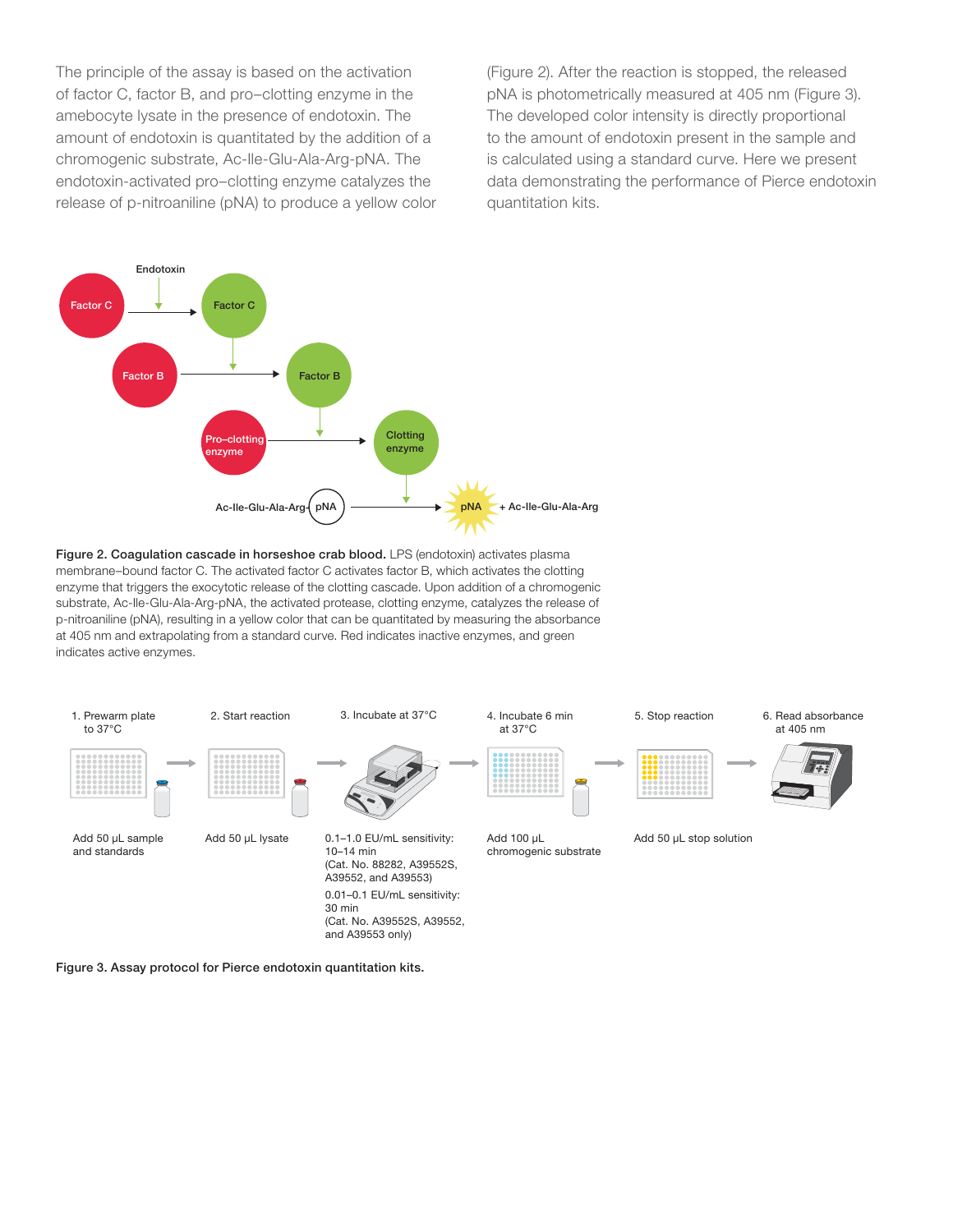The principle of the assay is based on the activation of factor C, factor B, and pro–clotting enzyme in the amebocyte lysate in the presence of endotoxin. The amount of endotoxin is quantitated by the addition of a chromogenic substrate, Ac-Ile-Glu-Ala-Arg-pNA. The endotoxin-activated pro–clotting enzyme catalyzes the release of p-nitroaniline (pNA) to produce a yellow color (Figure 2). After the reaction is stopped, the released pNA is photometrically measured at 405 nm (Figure 3). The developed color intensity is directly proportional to the amount of endotoxin present in the sample and is calculated using a standard curve. Here we present data demonstrating the performance of Pierce endotoxin quantitation kits.







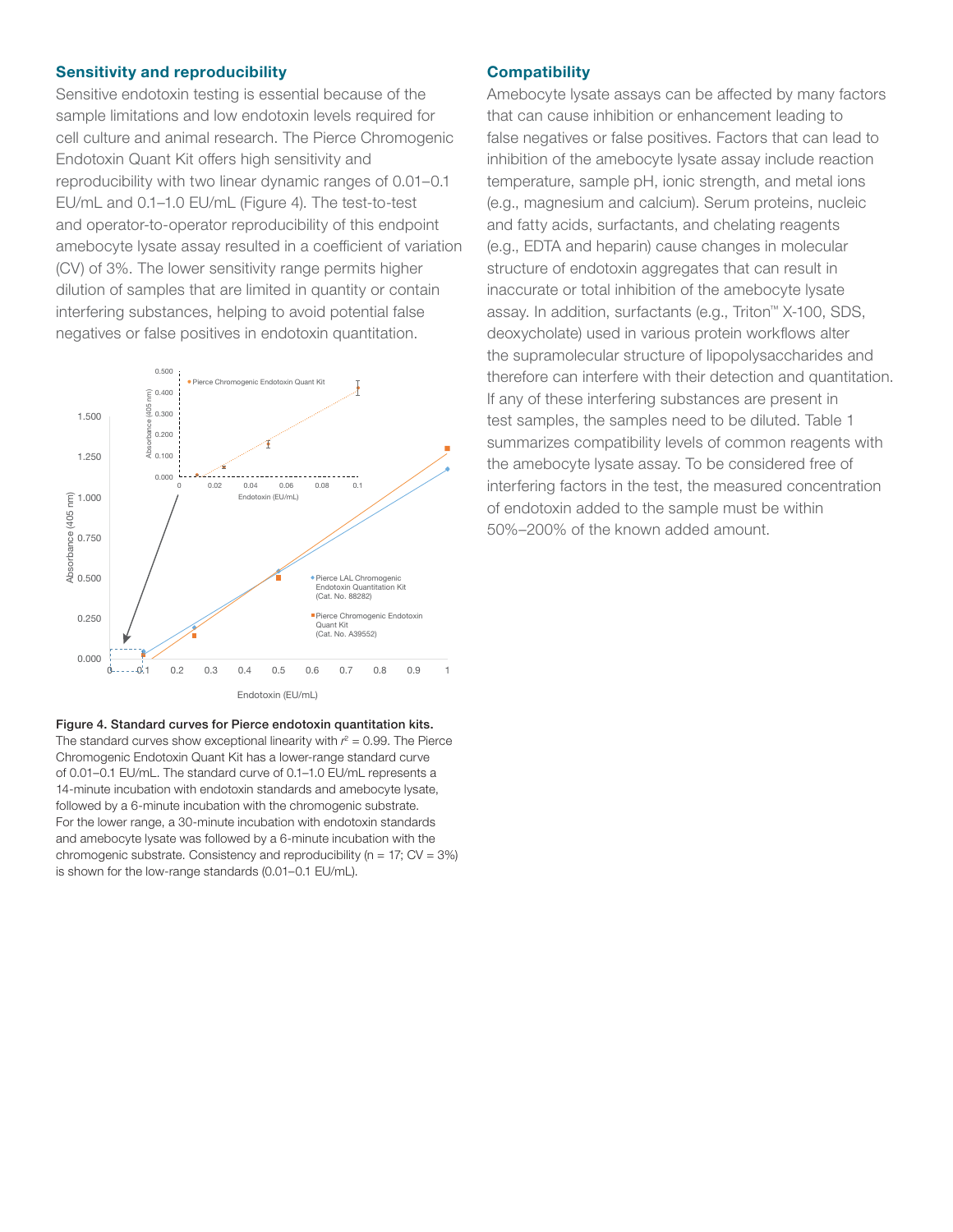#### Sensitivity and reproducibility

Sensitive endotoxin testing is essential because of the sample limitations and low endotoxin levels required for cell culture and animal research. The Pierce Chromogenic Endotoxin Quant Kit offers high sensitivity and reproducibility with two linear dynamic ranges of 0.01–0.1 EU/mL and 0.1–1.0 EU/mL (Figure 4). The test-to-test and operator-to-operator reproducibility of this endpoint amebocyte lysate assay resulted in a coefficient of variation (CV) of 3%. The lower sensitivity range permits higher dilution of samples that are limited in quantity or contain interfering substances, helping to avoid potential false negatives or false positives in endotoxin quantitation.



Figure 4. Standard curves for Pierce endotoxin quantitation kits. The standard curves show exceptional linearity with  $r^2 = 0.99$ . The Pierce Chromogenic Endotoxin Quant Kit has a lower-range standard curve of 0.01–0.1 EU/mL. The standard curve of 0.1–1.0 EU/mL represents a 14-minute incubation with endotoxin standards and amebocyte lysate, followed by a 6-minute incubation with the chromogenic substrate. For the lower range, a 30-minute incubation with endotoxin standards and amebocyte lysate was followed by a 6-minute incubation with the chromogenic substrate. Consistency and reproducibility ( $n = 17$ ; CV = 3%) is shown for the low-range standards (0.01–0.1 EU/mL).

#### **Compatibility**

Amebocyte lysate assays can be affected by many factors that can cause inhibition or enhancement leading to false negatives or false positives. Factors that can lead to inhibition of the amebocyte lysate assay include reaction temperature, sample pH, ionic strength, and metal ions (e.g., magnesium and calcium). Serum proteins, nucleic and fatty acids, surfactants, and chelating reagents (e.g., EDTA and heparin) cause changes in molecular structure of endotoxin aggregates that can result in inaccurate or total inhibition of the amebocyte lysate assay. In addition, surfactants (e.g., Triton™ X-100, SDS, deoxycholate) used in various protein workflows alter the supramolecular structure of lipopolysaccharides and therefore can interfere with their detection and quantitation. If any of these interfering substances are present in test samples, the samples need to be diluted. Table 1 summarizes compatibility levels of common reagents with the amebocyte lysate assay. To be considered free of interfering factors in the test, the measured concentration of endotoxin added to the sample must be within 50%–200% of the known added amount.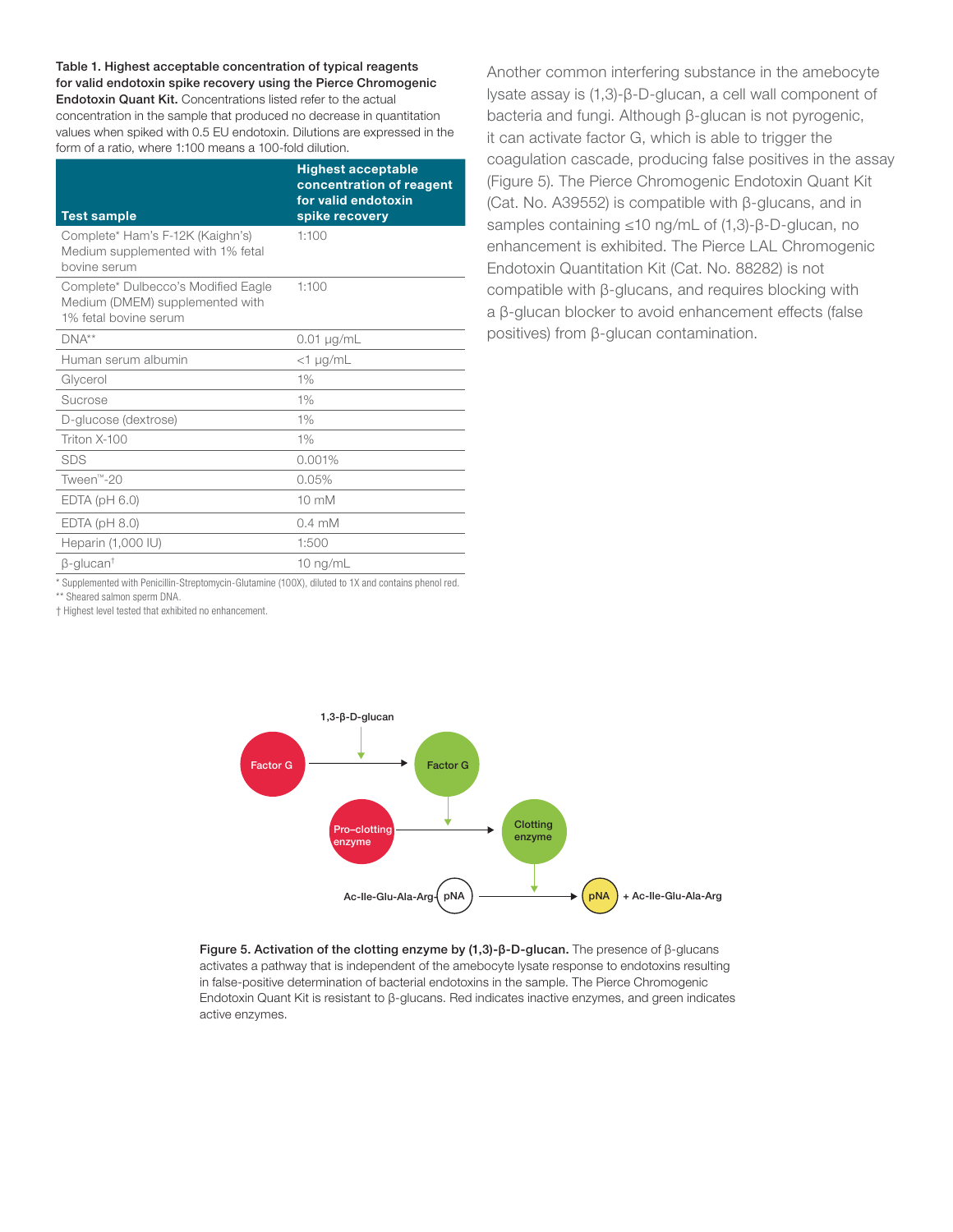Table 1. Highest acceptable concentration of typical reagents for valid endotoxin spike recovery using the Pierce Chromogenic Endotoxin Quant Kit. Concentrations listed refer to the actual concentration in the sample that produced no decrease in quantitation values when spiked with 0.5 EU endotoxin. Dilutions are expressed in the form of a ratio, where 1:100 means a 100-fold dilution.

| <b>Test sample</b>                                                                              | <b>Highest acceptable</b><br>concentration of reagent<br>for valid endotoxin<br>spike recovery |
|-------------------------------------------------------------------------------------------------|------------------------------------------------------------------------------------------------|
| Complete* Ham's F-12K (Kaighn's)<br>Medium supplemented with 1% fetal<br>bovine serum           | 1:100                                                                                          |
| Complete* Dulbecco's Modified Eagle<br>Medium (DMEM) supplemented with<br>1% fetal bovine serum | 1:100                                                                                          |
| $DNA^{**}$                                                                                      | $0.01 \mu g/mL$                                                                                |
| Human serum albumin                                                                             | $<$ 1 µg/mL                                                                                    |
| Glycerol                                                                                        | 1%                                                                                             |
| Sucrose                                                                                         | 1%                                                                                             |
| D-glucose (dextrose)                                                                            | 1%                                                                                             |
| Triton $X-100$                                                                                  | 1%                                                                                             |
| <b>SDS</b>                                                                                      | 0.001%                                                                                         |
| Tween <sup>™</sup> -20                                                                          | 0.05%                                                                                          |
| $EDTA$ ( $pH$ 6.0)                                                                              | $10 \text{ mM}$                                                                                |
| $EDTA$ ( $pH$ 8.0)                                                                              | $0.4 \text{ mM}$                                                                               |
| Heparin (1,000 IU)                                                                              | 1:500                                                                                          |
| $\beta$ -glucan <sup>t</sup>                                                                    | 10 $ng/mL$                                                                                     |

\* Supplemented with Penicillin-Streptomycin-Glutamine (100X), diluted to 1X and contains phenol red.

\*\* Sheared salmon sperm DNA.

† Highest level tested that exhibited no enhancement.

Another common interfering substance in the amebocyte lysate assay is (1,3)-β-D-glucan, a cell wall component of bacteria and fungi. Although β-glucan is not pyrogenic, it can activate factor G, which is able to trigger the coagulation cascade, producing false positives in the assay (Figure 5). The Pierce Chromogenic Endotoxin Quant Kit (Cat. No. A39552) is compatible with β-glucans, and in samples containing ≤10 ng/mL of (1,3)-β-D-glucan, no enhancement is exhibited. The Pierce LAL Chromogenic Endotoxin Quantitation Kit (Cat. No. 88282) is not compatible with β-glucans, and requires blocking with a β-glucan blocker to avoid enhancement effects (false positives) from β-glucan contamination.



Figure 5. Activation of the clotting enzyme by (1,3)-β-D-glucan. The presence of β-glucans activates a pathway that is independent of the amebocyte lysate response to endotoxins resulting in false-positive determination of bacterial endotoxins in the sample. The Pierce Chromogenic Endotoxin Quant Kit is resistant to β-glucans. Red indicates inactive enzymes, and green indicates active enzymes.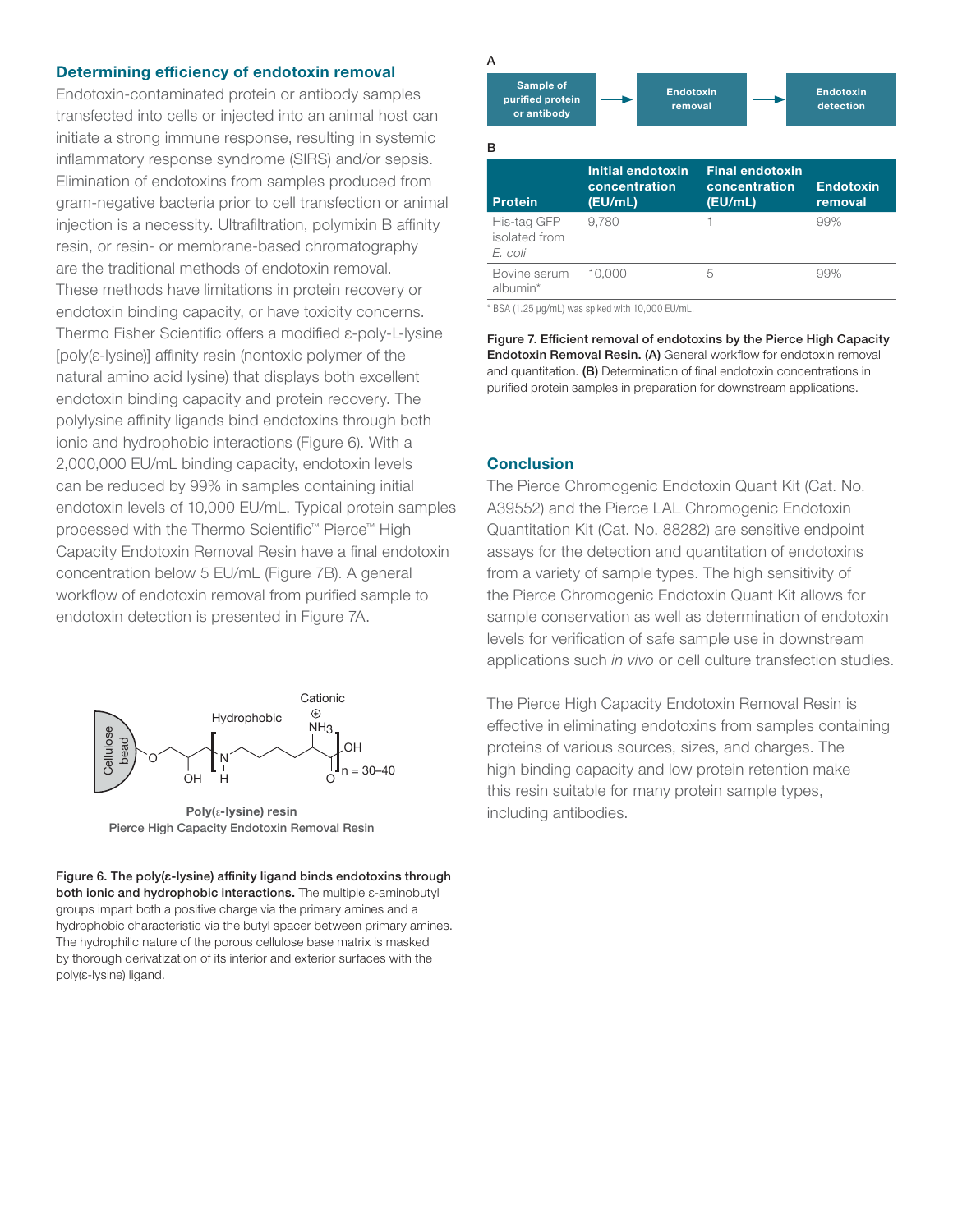#### Determining efficiency of endotoxin removal

Endotoxin-contaminated protein or antibody samples transfected into cells or injected into an animal host can initiate a strong immune response, resulting in systemic inflammatory response syndrome (SIRS) and/or sepsis. Elimination of endotoxins from samples produced from gram-negative bacteria prior to cell transfection or animal injection is a necessity. Ultrafiltration, polymixin B affinity resin, or resin- or membrane-based chromatography are the traditional methods of endotoxin removal. These methods have limitations in protein recovery or endotoxin binding capacity, or have toxicity concerns. Thermo Fisher Scientific offers a modified ε-poly-L-lysine [poly(ε-lysine)] affinity resin (nontoxic polymer of the natural amino acid lysine) that displays both excellent endotoxin binding capacity and protein recovery. The polylysine affinity ligands bind endotoxins through both ionic and hydrophobic interactions (Figure 6). With a 2,000,000 EU/mL binding capacity, endotoxin levels can be reduced by 99% in samples containing initial endotoxin levels of 10,000 EU/mL. Typical protein samples processed with the Thermo Scientific™ Pierce™ High Capacity Endotoxin Removal Resin have a final endotoxin concentration below 5 EU/mL (Figure 7B). A general workflow of endotoxin removal from purified sample to endotoxin detection is presented in Figure 7A.



Poly(ε-lysine) resin Pierce High Capacity Endotoxin Removal Resin

Figure 6. The poly(ε-lysine) affinity ligand binds endotoxins through both ionic and hydrophobic interactions. The multiple ε-aminobutyl groups impart both a positive charge via the primary amines and a hydrophobic characteristic via the butyl spacer between primary amines. The hydrophilic nature of the porous cellulose base matrix is masked by thorough derivatization of its interior and exterior surfaces with the poly(ε-lysine) ligand.



\* BSA (1.25 µg/mL) was spiked with 10,000 EU/mL.

Figure 7. Efficient removal of endotoxins by the Pierce High Capacity Endotoxin Removal Resin. (A) General workflow for endotoxin removal and quantitation. (B) Determination of final endotoxin concentrations in purified protein samples in preparation for downstream applications.

#### **Conclusion**

The Pierce Chromogenic Endotoxin Quant Kit (Cat. No. A39552) and the Pierce LAL Chromogenic Endotoxin Quantitation Kit (Cat. No. 88282) are sensitive endpoint assays for the detection and quantitation of endotoxins from a variety of sample types. The high sensitivity of the Pierce Chromogenic Endotoxin Quant Kit allows for sample conservation as well as determination of endotoxin levels for verification of safe sample use in downstream applications such *in vivo* or cell culture transfection studies.

The Pierce High Capacity Endotoxin Removal Resin is effective in eliminating endotoxins from samples containing proteins of various sources, sizes, and charges. The high binding capacity and low protein retention make this resin suitable for many protein sample types, including antibodies.